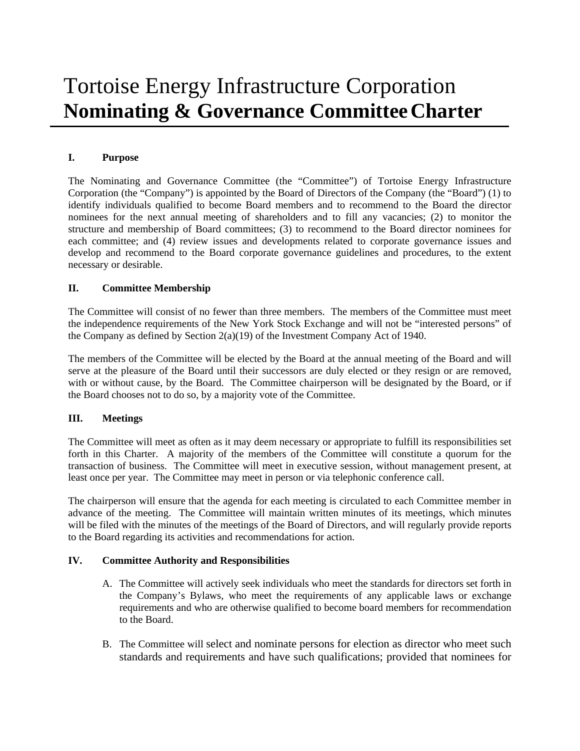# Tortoise Energy Infrastructure Corporation **Nominating & Governance CommitteeCharter**

## **I. Purpose**

The Nominating and Governance Committee (the "Committee") of Tortoise Energy Infrastructure Corporation (the "Company") is appointed by the Board of Directors of the Company (the "Board") (1) to identify individuals qualified to become Board members and to recommend to the Board the director nominees for the next annual meeting of shareholders and to fill any vacancies; (2) to monitor the structure and membership of Board committees; (3) to recommend to the Board director nominees for each committee; and (4) review issues and developments related to corporate governance issues and develop and recommend to the Board corporate governance guidelines and procedures, to the extent necessary or desirable.

## **II. Committee Membership**

The Committee will consist of no fewer than three members. The members of the Committee must meet the independence requirements of the New York Stock Exchange and will not be "interested persons" of the Company as defined by Section  $2(a)(19)$  of the Investment Company Act of 1940.

The members of the Committee will be elected by the Board at the annual meeting of the Board and will serve at the pleasure of the Board until their successors are duly elected or they resign or are removed, with or without cause, by the Board. The Committee chairperson will be designated by the Board, or if the Board chooses not to do so, by a majority vote of the Committee.

#### **III. Meetings**

The Committee will meet as often as it may deem necessary or appropriate to fulfill its responsibilities set forth in this Charter. A majority of the members of the Committee will constitute a quorum for the transaction of business. The Committee will meet in executive session, without management present, at least once per year. The Committee may meet in person or via telephonic conference call.

The chairperson will ensure that the agenda for each meeting is circulated to each Committee member in advance of the meeting. The Committee will maintain written minutes of its meetings, which minutes will be filed with the minutes of the meetings of the Board of Directors, and will regularly provide reports to the Board regarding its activities and recommendations for action.

## **IV. Committee Authority and Responsibilities**

- A. The Committee will actively seek individuals who meet the standards for directors set forth in the Company's Bylaws, who meet the requirements of any applicable laws or exchange requirements and who are otherwise qualified to become board members for recommendation to the Board.
- B. The Committee will select and nominate persons for election as director who meet such standards and requirements and have such qualifications; provided that nominees for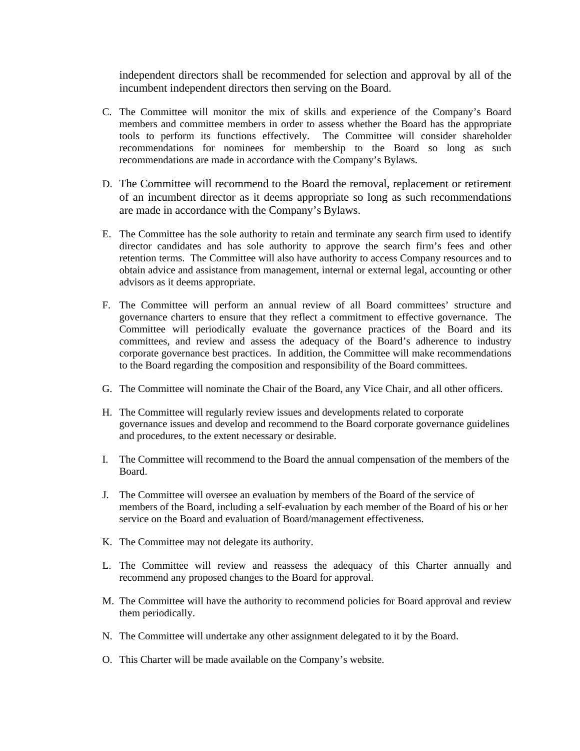independent directors shall be recommended for selection and approval by all of the incumbent independent directors then serving on the Board.

- C. The Committee will monitor the mix of skills and experience of the Company's Board members and committee members in order to assess whether the Board has the appropriate tools to perform its functions effectively. The Committee will consider shareholder recommendations for nominees for membership to the Board so long as such recommendations are made in accordance with the Company's Bylaws.
- D. The Committee will recommend to the Board the removal, replacement or retirement of an incumbent director as it deems appropriate so long as such recommendations are made in accordance with the Company's Bylaws.
- E. The Committee has the sole authority to retain and terminate any search firm used to identify director candidates and has sole authority to approve the search firm's fees and other retention terms. The Committee will also have authority to access Company resources and to obtain advice and assistance from management, internal or external legal, accounting or other advisors as it deems appropriate.
- F. The Committee will perform an annual review of all Board committees' structure and governance charters to ensure that they reflect a commitment to effective governance. The Committee will periodically evaluate the governance practices of the Board and its committees, and review and assess the adequacy of the Board's adherence to industry corporate governance best practices. In addition, the Committee will make recommendations to the Board regarding the composition and responsibility of the Board committees.
- G. The Committee will nominate the Chair of the Board, any Vice Chair, and all other officers.
- H. The Committee will regularly review issues and developments related to corporate governance issues and develop and recommend to the Board corporate governance guidelines and procedures, to the extent necessary or desirable.
- I. The Committee will recommend to the Board the annual compensation of the members of the Board.
- J. The Committee will oversee an evaluation by members of the Board of the service of members of the Board, including a self-evaluation by each member of the Board of his or her service on the Board and evaluation of Board/management effectiveness.
- K. The Committee may not delegate its authority.
- L. The Committee will review and reassess the adequacy of this Charter annually and recommend any proposed changes to the Board for approval.
- M. The Committee will have the authority to recommend policies for Board approval and review them periodically.
- N. The Committee will undertake any other assignment delegated to it by the Board.
- O. This Charter will be made available on the Company's website.